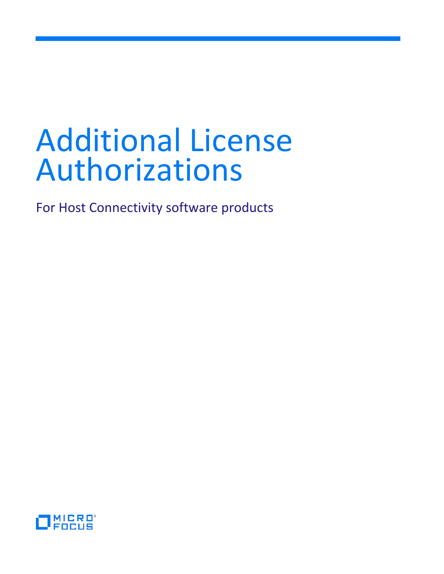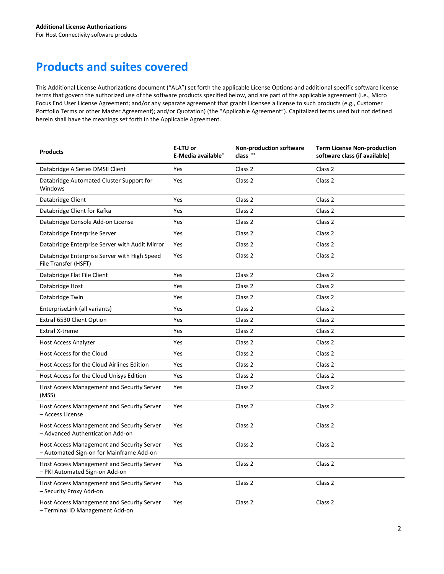# **Products and suites covered**

This Additional License Authorizations document ("ALA") set forth the applicable License Options and additional specific software license terms that govern the authorized use of the software products specified below, and are part of the applicable agreement (i.e., Micro Focus End User License Agreement; and/or any separate agreement that grants Licensee a license to such products (e.g., Customer Portfolio Terms or other Master Agreement); and/or Quotation) (the "Applicable Agreement"). Capitalized terms used but not defined herein shall have the meanings set forth in the Applicable Agreement.

| <b>Products</b>                                                                        | E-LTU or<br>E-Media available* | <b>Non-production software</b><br>class ** | <b>Term License Non-production</b><br>software class (if available) |
|----------------------------------------------------------------------------------------|--------------------------------|--------------------------------------------|---------------------------------------------------------------------|
| Databridge A Series DMSII Client                                                       | Yes                            | Class <sub>2</sub>                         | Class 2                                                             |
| Databridge Automated Cluster Support for<br>Windows                                    | Yes                            | Class 2                                    | Class 2                                                             |
| Databridge Client                                                                      | Yes                            | Class 2                                    | Class 2                                                             |
| Databridge Client for Kafka                                                            | Yes                            | Class 2                                    | Class 2                                                             |
| Databridge Console Add-on License                                                      | Yes                            | Class 2                                    | Class 2                                                             |
| Databridge Enterprise Server                                                           | Yes                            | Class 2                                    | Class 2                                                             |
| Databridge Enterprise Server with Audit Mirror                                         | Yes                            | Class 2                                    | Class 2                                                             |
| Databridge Enterprise Server with High Speed<br>File Transfer (HSFT)                   | Yes                            | Class 2                                    | Class 2                                                             |
| Databridge Flat File Client                                                            | Yes                            | Class 2                                    | Class 2                                                             |
| Databridge Host                                                                        | Yes                            | Class 2                                    | Class 2                                                             |
| Databridge Twin                                                                        | Yes                            | Class 2                                    | Class 2                                                             |
| EnterpriseLink (all variants)                                                          | Yes                            | Class 2                                    | Class 2                                                             |
| Extra! 6530 Client Option                                                              | Yes                            | Class 2                                    | Class 2                                                             |
| Extra! X-treme                                                                         | Yes                            | Class 2                                    | Class 2                                                             |
| Host Access Analyzer                                                                   | Yes                            | Class 2                                    | Class 2                                                             |
| Host Access for the Cloud                                                              | Yes                            | Class 2                                    | Class 2                                                             |
| Host Access for the Cloud Airlines Edition                                             | Yes                            | Class 2                                    | Class 2                                                             |
| Host Access for the Cloud Unisys Edition                                               | Yes                            | Class 2                                    | Class 2                                                             |
| Host Access Management and Security Server<br>(MSS)                                    | Yes                            | Class 2                                    | Class <sub>2</sub>                                                  |
| Host Access Management and Security Server<br>- Access License                         | Yes                            | Class 2                                    | Class 2                                                             |
| Host Access Management and Security Server<br>- Advanced Authentication Add-on         | Yes                            | Class 2                                    | Class 2                                                             |
| Host Access Management and Security Server<br>- Automated Sign-on for Mainframe Add-on | Yes                            | Class 2                                    | Class 2                                                             |
| Host Access Management and Security Server<br>- PKI Automated Sign-on Add-on           | Yes                            | Class 2                                    | Class 2                                                             |
| Host Access Management and Security Server<br>- Security Proxy Add-on                  | Yes                            | Class 2                                    | Class 2                                                             |
| Host Access Management and Security Server<br>- Terminal ID Management Add-on          | Yes                            | Class 2                                    | Class 2                                                             |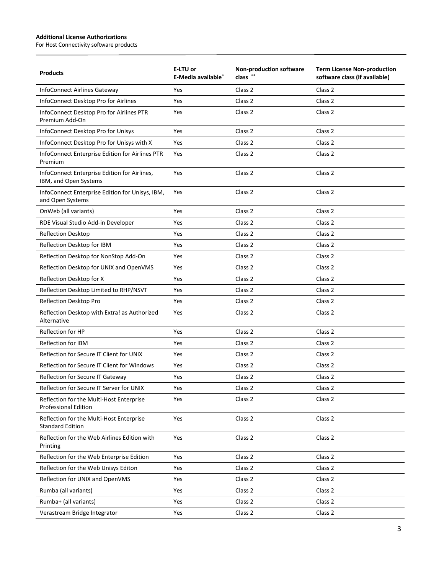$\overline{a}$ 

| <b>Products</b>                                                         | E-LTU or<br>E-Media available <sup>*</sup> | <b>Non-production software</b><br>class ** | <b>Term License Non-production</b><br>software class (if available) |
|-------------------------------------------------------------------------|--------------------------------------------|--------------------------------------------|---------------------------------------------------------------------|
| <b>InfoConnect Airlines Gateway</b>                                     | Yes                                        | Class 2                                    | Class 2                                                             |
| InfoConnect Desktop Pro for Airlines                                    | Yes                                        | Class 2                                    | Class <sub>2</sub>                                                  |
| InfoConnect Desktop Pro for Airlines PTR<br>Premium Add-On              | Yes                                        | Class 2                                    | Class <sub>2</sub>                                                  |
| InfoConnect Desktop Pro for Unisys                                      | Yes                                        | Class 2                                    | Class 2                                                             |
| InfoConnect Desktop Pro for Unisys with X                               | Yes                                        | Class 2                                    | Class 2                                                             |
| InfoConnect Enterprise Edition for Airlines PTR<br>Premium              | Yes                                        | Class 2                                    | Class 2                                                             |
| InfoConnect Enterprise Edition for Airlines,<br>IBM, and Open Systems   | Yes                                        | Class 2                                    | Class <sub>2</sub>                                                  |
| InfoConnect Enterprise Edition for Unisys, IBM,<br>and Open Systems     | Yes                                        | Class 2                                    | Class 2                                                             |
| OnWeb (all variants)                                                    | Yes                                        | Class 2                                    | Class <sub>2</sub>                                                  |
| RDE Visual Studio Add-in Developer                                      | Yes                                        | Class 2                                    | Class 2                                                             |
| <b>Reflection Desktop</b>                                               | Yes                                        | Class 2                                    | Class 2                                                             |
| Reflection Desktop for IBM                                              | Yes                                        | Class 2                                    | Class 2                                                             |
| Reflection Desktop for NonStop Add-On                                   | Yes                                        | Class 2                                    | Class 2                                                             |
| Reflection Desktop for UNIX and OpenVMS                                 | Yes                                        | Class 2                                    | Class 2                                                             |
| Reflection Desktop for X                                                | Yes                                        | Class 2                                    | Class 2                                                             |
| Reflection Desktop Limited to RHP/NSVT                                  | Yes                                        | Class 2                                    | Class 2                                                             |
| Reflection Desktop Pro                                                  | Yes                                        | Class 2                                    | Class 2                                                             |
| Reflection Desktop with Extra! as Authorized<br>Alternative             | Yes                                        | Class 2                                    | Class 2                                                             |
| <b>Reflection for HP</b>                                                | Yes                                        | Class 2                                    | Class 2                                                             |
| <b>Reflection for IBM</b>                                               | Yes                                        | Class 2                                    | Class 2                                                             |
| Reflection for Secure IT Client for UNIX                                | Yes                                        | Class 2                                    | Class 2                                                             |
| Reflection for Secure IT Client for Windows                             | Yes                                        | Class 2                                    | Class <sub>2</sub>                                                  |
| Reflection for Secure IT Gateway                                        | Yes                                        | Class 2                                    | Class 2                                                             |
| Reflection for Secure IT Server for UNIX                                | Yes                                        | Class 2                                    | Class 2                                                             |
| Reflection for the Multi-Host Enterprise<br><b>Professional Edition</b> | Yes                                        | Class 2                                    | Class 2                                                             |
| Reflection for the Multi-Host Enterprise<br><b>Standard Edition</b>     | Yes                                        | Class 2                                    | Class <sub>2</sub>                                                  |
| Reflection for the Web Airlines Edition with<br>Printing                | Yes                                        | Class 2                                    | Class 2                                                             |
| Reflection for the Web Enterprise Edition                               | Yes                                        | Class 2                                    | Class 2                                                             |
| Reflection for the Web Unisys Editon                                    | Yes                                        | Class 2                                    | Class 2                                                             |
| Reflection for UNIX and OpenVMS                                         | Yes                                        | Class 2                                    | Class 2                                                             |
| Rumba (all variants)                                                    | Yes                                        | Class 2                                    | Class 2                                                             |
| Rumba+ (all variants)                                                   | Yes                                        | Class 2                                    | Class 2                                                             |
| Verastream Bridge Integrator                                            | Yes                                        | Class 2                                    | Class 2                                                             |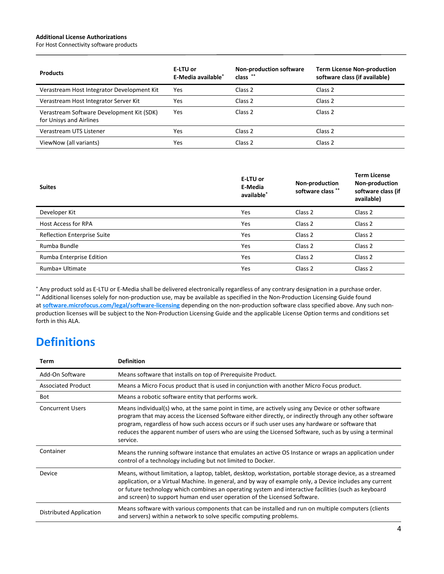For Host Connectivity software products

| <b>Products</b>                                                      | E-LTU or<br>E-Media available* | <b>Non-production software</b><br>class ** | <b>Term License Non-production</b><br>software class (if available) |
|----------------------------------------------------------------------|--------------------------------|--------------------------------------------|---------------------------------------------------------------------|
| Verastream Host Integrator Development Kit                           | Yes                            | Class 2                                    | Class <sub>2</sub>                                                  |
| Verastream Host Integrator Server Kit                                | Yes                            | Class 2                                    | Class 2                                                             |
| Verastream Software Development Kit (SDK)<br>for Unisys and Airlines | Yes                            | Class <sub>2</sub>                         | Class <sub>2</sub>                                                  |
| Verastream UTS Listener                                              | Yes                            | Class 2                                    | Class 2                                                             |
| ViewNow (all variants)                                               | Yes                            | Class <sub>2</sub>                         | Class 2                                                             |

| <b>Suites</b>                      | E-LTU or<br>E-Media<br>available* | Non-production<br>software class ** | <b>Term License</b><br>Non-production<br>software class (if<br>available) |
|------------------------------------|-----------------------------------|-------------------------------------|---------------------------------------------------------------------------|
| Developer Kit                      | Yes                               | Class 2                             | Class 2                                                                   |
| <b>Host Access for RPA</b>         | Yes                               | Class <sub>2</sub>                  | Class <sub>2</sub>                                                        |
| <b>Reflection Enterprise Suite</b> | Yes                               | Class <sub>2</sub>                  | Class <sub>2</sub>                                                        |
| Rumba Bundle                       | Yes                               | Class <sub>2</sub>                  | Class <sub>2</sub>                                                        |
| Rumba Enterprise Edition           | Yes                               | Class <sub>2</sub>                  | Class <sub>2</sub>                                                        |
| Rumba+ Ultimate                    | Yes                               | Class <sub>2</sub>                  | Class <sub>2</sub>                                                        |

\* Any product sold as E-LTU or E-Media shall be delivered electronically regardless of any contrary designation in a purchase order. \*\* Additional licenses solely for non-production use, may be available as specified in the Non-Production Licensing Guide found at **[software.microfocus.com/legal/software-licensing](http://software.microfocus.com/legal/software-licensing)** depending on the non-production software class specified above. Any such nonproduction licenses will be subject to the Non-Production Licensing Guide and the applicable License Option terms and conditions set forth in this ALA.

# **Definitions**

| Term                      | <b>Definition</b>                                                                                                                                                                                                                                                                                                                                                                                                                       |
|---------------------------|-----------------------------------------------------------------------------------------------------------------------------------------------------------------------------------------------------------------------------------------------------------------------------------------------------------------------------------------------------------------------------------------------------------------------------------------|
| Add-On Software           | Means software that installs on top of Prerequisite Product.                                                                                                                                                                                                                                                                                                                                                                            |
| <b>Associated Product</b> | Means a Micro Focus product that is used in conjunction with another Micro Focus product.                                                                                                                                                                                                                                                                                                                                               |
| Bot                       | Means a robotic software entity that performs work.                                                                                                                                                                                                                                                                                                                                                                                     |
| <b>Concurrent Users</b>   | Means individual(s) who, at the same point in time, are actively using any Device or other software<br>program that may access the Licensed Software either directly, or indirectly through any other software<br>program, regardless of how such access occurs or if such user uses any hardware or software that<br>reduces the apparent number of users who are using the Licensed Software, such as by using a terminal<br>service. |
| Container                 | Means the running software instance that emulates an active OS Instance or wraps an application under<br>control of a technology including but not limited to Docker.                                                                                                                                                                                                                                                                   |
| Device                    | Means, without limitation, a laptop, tablet, desktop, workstation, portable storage device, as a streamed<br>application, or a Virtual Machine. In general, and by way of example only, a Device includes any current<br>or future technology which combines an operating system and interactive facilities (such as keyboard<br>and screen) to support human end user operation of the Licensed Software.                              |
| Distributed Application   | Means software with various components that can be installed and run on multiple computers (clients<br>and servers) within a network to solve specific computing problems.                                                                                                                                                                                                                                                              |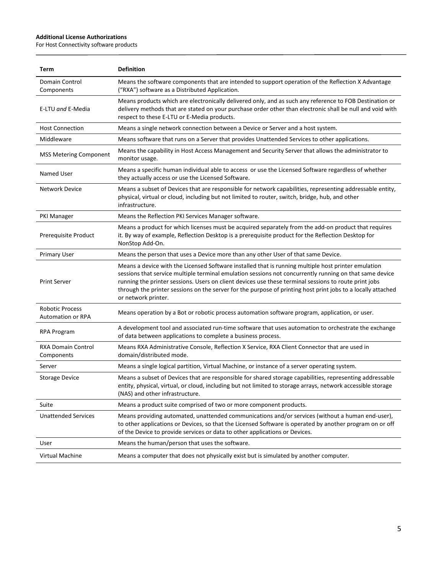$\overline{a}$ 

| Term                                               | <b>Definition</b>                                                                                                                                                                                                                                                                                                                                                                                                                                              |
|----------------------------------------------------|----------------------------------------------------------------------------------------------------------------------------------------------------------------------------------------------------------------------------------------------------------------------------------------------------------------------------------------------------------------------------------------------------------------------------------------------------------------|
| Domain Control<br>Components                       | Means the software components that are intended to support operation of the Reflection X Advantage<br>("RXA") software as a Distributed Application.                                                                                                                                                                                                                                                                                                           |
| E-LTU and E-Media                                  | Means products which are electronically delivered only, and as such any reference to FOB Destination or<br>delivery methods that are stated on your purchase order other than electronic shall be null and void with<br>respect to these E-LTU or E-Media products.                                                                                                                                                                                            |
| <b>Host Connection</b>                             | Means a single network connection between a Device or Server and a host system.                                                                                                                                                                                                                                                                                                                                                                                |
| Middleware                                         | Means software that runs on a Server that provides Unattended Services to other applications.                                                                                                                                                                                                                                                                                                                                                                  |
| <b>MSS Metering Component</b>                      | Means the capability in Host Access Management and Security Server that allows the administrator to<br>monitor usage.                                                                                                                                                                                                                                                                                                                                          |
| Named User                                         | Means a specific human individual able to access or use the Licensed Software regardless of whether<br>they actually access or use the Licensed Software.                                                                                                                                                                                                                                                                                                      |
| <b>Network Device</b>                              | Means a subset of Devices that are responsible for network capabilities, representing addressable entity,<br>physical, virtual or cloud, including but not limited to router, switch, bridge, hub, and other<br>infrastructure.                                                                                                                                                                                                                                |
| <b>PKI Manager</b>                                 | Means the Reflection PKI Services Manager software.                                                                                                                                                                                                                                                                                                                                                                                                            |
| Prerequisite Product                               | Means a product for which licenses must be acquired separately from the add-on product that requires<br>it. By way of example, Reflection Desktop is a prerequisite product for the Reflection Desktop for<br>NonStop Add-On.                                                                                                                                                                                                                                  |
| <b>Primary User</b>                                | Means the person that uses a Device more than any other User of that same Device.                                                                                                                                                                                                                                                                                                                                                                              |
| <b>Print Server</b>                                | Means a device with the Licensed Software installed that is running multiple host printer emulation<br>sessions that service multiple terminal emulation sessions not concurrently running on that same device<br>running the printer sessions. Users on client devices use these terminal sessions to route print jobs<br>through the printer sessions on the server for the purpose of printing host print jobs to a locally attached<br>or network printer. |
| <b>Robotic Process</b><br><b>Automation or RPA</b> | Means operation by a Bot or robotic process automation software program, application, or user.                                                                                                                                                                                                                                                                                                                                                                 |
| RPA Program                                        | A development tool and associated run-time software that uses automation to orchestrate the exchange<br>of data between applications to complete a business process.                                                                                                                                                                                                                                                                                           |
| <b>RXA Domain Control</b><br>Components            | Means RXA Administrative Console, Reflection X Service, RXA Client Connector that are used in<br>domain/distributed mode.                                                                                                                                                                                                                                                                                                                                      |
| Server                                             | Means a single logical partition, Virtual Machine, or instance of a server operating system.                                                                                                                                                                                                                                                                                                                                                                   |
| <b>Storage Device</b>                              | Means a subset of Devices that are responsible for shared storage capabilities, representing addressable<br>entity, physical, virtual, or cloud, including but not limited to storage arrays, network accessible storage<br>(NAS) and other infrastructure.                                                                                                                                                                                                    |
| Suite                                              | Means a product suite comprised of two or more component products.                                                                                                                                                                                                                                                                                                                                                                                             |
| <b>Unattended Services</b>                         | Means providing automated, unattended communications and/or services (without a human end-user),<br>to other applications or Devices, so that the Licensed Software is operated by another program on or off<br>of the Device to provide services or data to other applications or Devices.                                                                                                                                                                    |
| User                                               | Means the human/person that uses the software.                                                                                                                                                                                                                                                                                                                                                                                                                 |
| Virtual Machine                                    | Means a computer that does not physically exist but is simulated by another computer.                                                                                                                                                                                                                                                                                                                                                                          |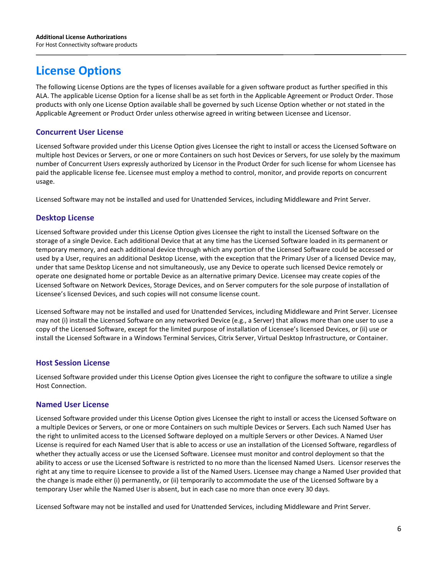# **License Options**

The following License Options are the types of licenses available for a given software product as further specified in this ALA. The applicable License Option for a license shall be as set forth in the Applicable Agreement or Product Order. Those products with only one License Option available shall be governed by such License Option whether or not stated in the Applicable Agreement or Product Order unless otherwise agreed in writing between Licensee and Licensor.

#### **Concurrent User License**

Licensed Software provided under this License Option gives Licensee the right to install or access the Licensed Software on multiple host Devices or Servers, or one or more Containers on such host Devices or Servers, for use solely by the maximum number of Concurrent Users expressly authorized by Licensor in the Product Order for such license for whom Licensee has paid the applicable license fee. Licensee must employ a method to control, monitor, and provide reports on concurrent usage.

Licensed Software may not be installed and used for Unattended Services, including Middleware and Print Server.

#### **Desktop License**

Licensed Software provided under this License Option gives Licensee the right to install the Licensed Software on the storage of a single Device. Each additional Device that at any time has the Licensed Software loaded in its permanent or temporary memory, and each additional device through which any portion of the Licensed Software could be accessed or used by a User, requires an additional Desktop License, with the exception that the Primary User of a licensed Device may, under that same Desktop License and not simultaneously, use any Device to operate such licensed Device remotely or operate one designated home or portable Device as an alternative primary Device. Licensee may create copies of the Licensed Software on Network Devices, Storage Devices, and on Server computers for the sole purpose of installation of Licensee's licensed Devices, and such copies will not consume license count.

Licensed Software may not be installed and used for Unattended Services, including Middleware and Print Server. Licensee may not (i) install the Licensed Software on any networked Device (e.g., a Server) that allows more than one user to use a copy of the Licensed Software, except for the limited purpose of installation of Licensee's licensed Devices, or (ii) use or install the Licensed Software in a Windows Terminal Services, Citrix Server, Virtual Desktop Infrastructure, or Container.

#### **Host Session License**

Licensed Software provided under this License Option gives Licensee the right to configure the software to utilize a single Host Connection.

#### **Named User License**

Licensed Software provided under this License Option gives Licensee the right to install or access the Licensed Software on a multiple Devices or Servers, or one or more Containers on such multiple Devices or Servers. Each such Named User has the right to unlimited access to the Licensed Software deployed on a multiple Servers or other Devices. A Named User License is required for each Named User that is able to access or use an installation of the Licensed Software, regardless of whether they actually access or use the Licensed Software. Licensee must monitor and control deployment so that the ability to access or use the Licensed Software is restricted to no more than the licensed Named Users. Licensor reserves the right at any time to require Licensee to provide a list of the Named Users. Licensee may change a Named User provided that the change is made either (i) permanently, or (ii) temporarily to accommodate the use of the Licensed Software by a temporary User while the Named User is absent, but in each case no more than once every 30 days.

Licensed Software may not be installed and used for Unattended Services, including Middleware and Print Server.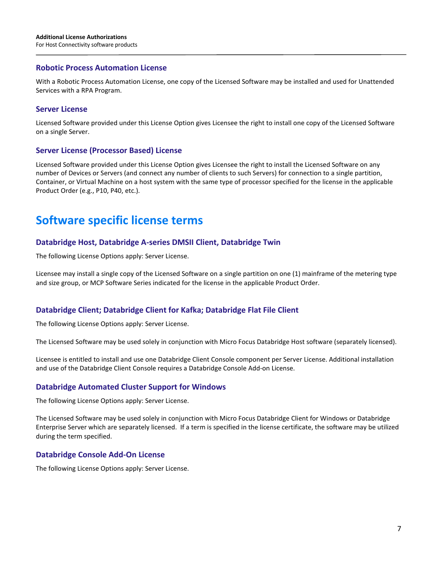#### **Robotic Process Automation License**

With a Robotic Process Automation License, one copy of the Licensed Software may be installed and used for Unattended Services with a RPA Program.

#### **Server License**

Licensed Software provided under this License Option gives Licensee the right to install one copy of the Licensed Software on a single Server.

#### **Server License (Processor Based) License**

Licensed Software provided under this License Option gives Licensee the right to install the Licensed Software on any number of Devices or Servers (and connect any number of clients to such Servers) for connection to a single partition, Container, or Virtual Machine on a host system with the same type of processor specified for the license in the applicable Product Order (e.g., P10, P40, etc.).

## **Software specific license terms**

#### **Databridge Host, Databridge A-series DMSII Client, Databridge Twin**

The following License Options apply: Server License.

Licensee may install a single copy of the Licensed Software on a single partition on one (1) mainframe of the metering type and size group, or MCP Software Series indicated for the license in the applicable Product Order.

#### **Databridge Client; Databridge Client for Kafka; Databridge Flat File Client**

The following License Options apply: Server License.

The Licensed Software may be used solely in conjunction with Micro Focus Databridge Host software (separately licensed).

Licensee is entitled to install and use one Databridge Client Console component per Server License. Additional installation and use of the Databridge Client Console requires a Databridge Console Add-on License.

#### **Databridge Automated Cluster Support for Windows**

The following License Options apply: Server License.

The Licensed Software may be used solely in conjunction with Micro Focus Databridge Client for Windows or Databridge Enterprise Server which are separately licensed. If a term is specified in the license certificate, the software may be utilized during the term specified.

#### **Databridge Console Add-On License**

The following License Options apply: Server License.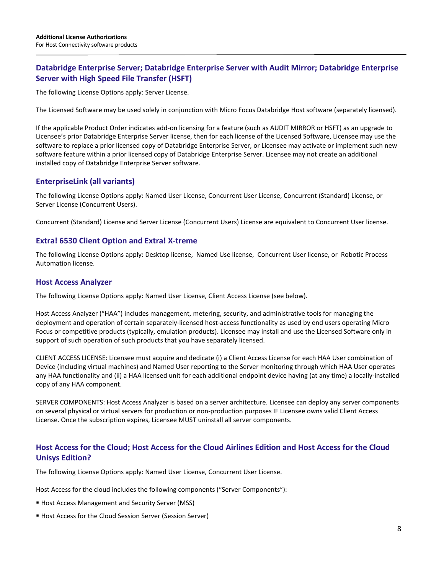#### **Databridge Enterprise Server; Databridge Enterprise Server with Audit Mirror; Databridge Enterprise Server with High Speed File Transfer (HSFT)**

The following License Options apply: Server License.

The Licensed Software may be used solely in conjunction with Micro Focus Databridge Host software (separately licensed).

If the applicable Product Order indicates add-on licensing for a feature (such as AUDIT MIRROR or HSFT) as an upgrade to Licensee's prior Databridge Enterprise Server license, then for each license of the Licensed Software, Licensee may use the software to replace a prior licensed copy of Databridge Enterprise Server, or Licensee may activate or implement such new software feature within a prior licensed copy of Databridge Enterprise Server. Licensee may not create an additional installed copy of Databridge Enterprise Server software.

#### **EnterpriseLink (all variants)**

The following License Options apply: Named User License, Concurrent User License, Concurrent (Standard) License, or Server License (Concurrent Users).

Concurrent (Standard) License and Server License (Concurrent Users) License are equivalent to Concurrent User license.

#### **Extra! 6530 Client Option and Extra! X-treme**

The following License Options apply: Desktop license, Named Use license, Concurrent User license, or Robotic Process Automation license.

#### **Host Access Analyzer**

The following License Options apply: Named User License, Client Access License (see below).

Host Access Analyzer ("HAA") includes management, metering, security, and administrative tools for managing the deployment and operation of certain separately-licensed host-access functionality as used by end users operating Micro Focus or competitive products (typically, emulation products). Licensee may install and use the Licensed Software only in support of such operation of such products that you have separately licensed.

CLIENT ACCESS LICENSE: Licensee must acquire and dedicate (i) a Client Access License for each HAA User combination of Device (including virtual machines) and Named User reporting to the Server monitoring through which HAA User operates any HAA functionality and (ii) a HAA licensed unit for each additional endpoint device having (at any time) a locally-installed copy of any HAA component.

SERVER COMPONENTS: Host Access Analyzer is based on a server architecture. Licensee can deploy any server components on several physical or virtual servers for production or non-production purposes IF Licensee owns valid Client Access License. Once the subscription expires, Licensee MUST uninstall all server components.

### **Host Access for the Cloud; Host Access for the Cloud Airlines Edition and Host Access for the Cloud Unisys Edition?**

The following License Options apply: Named User License, Concurrent User License.

Host Access for the cloud includes the following components ("Server Components"):

- Host Access Management and Security Server (MSS)
- Host Access for the Cloud Session Server (Session Server)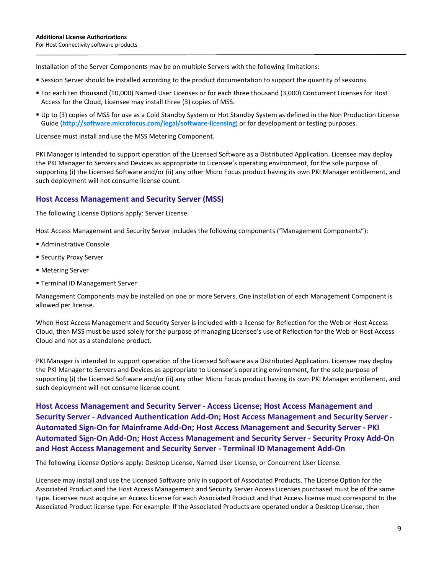Installation of the Server Components may be on multiple Servers with the following limitations:

- Session Server should be installed according to the product documentation to support the quantity of sessions.
- For each ten thousand (10,000) Named User Licenses or for each three thousand (3,000) Concurrent Licenses for Host Access for the Cloud, Licensee may install three (3) copies of MSS.
- Up to (3) copies of MSS for use as a Cold Standby System or Hot Standby System as defined in the Non Production License Guide (**http:/[/software.microfocus.com/legal/software-licensing\)](http://software.microfocus.com/legal/software-licensing)** or for development or testing purposes.

Licensee must install and use the MSS Metering Component.

PKI Manager is intended to support operation of the Licensed Software as a Distributed Application. Licensee may deploy the PKI Manager to Servers and Devices as appropriate to Licensee's operating environment, for the sole purpose of supporting (i) the Licensed Software and/or (ii) any other Micro Focus product having its own PKI Manager entitlement, and such deployment will not consume license count.

#### **Host Access Management and Security Server (MSS)**

The following License Options apply: Server License.

Host Access Management and Security Server includes the following components ("Management Components"):

- Administrative Console
- **Security Proxy Server**
- Metering Server
- **Terminal ID Management Server**

Management Components may be installed on one or more Servers. One installation of each Management Component is allowed per license.

When Host Access Management and Security Server is included with a license for Reflection for the Web or Host Access Cloud, then MSS must be used solely for the purpose of managing Licensee's use of Reflection for the Web or Host Access Cloud and not as a standalone product.

PKI Manager is intended to support operation of the Licensed Software as a Distributed Application. Licensee may deploy the PKI Manager to Servers and Devices as appropriate to Licensee's operating environment, for the sole purpose of supporting (i) the Licensed Software and/or (ii) any other Micro Focus product having its own PKI Manager entitlement, and such deployment will not consume license count.

**Host Access Management and Security Server - Access License; Host Access Management and Security Server - Advanced Authentication Add-On; Host Access Management and Security Server - Automated Sign-On for Mainframe Add-On; Host Access Management and Security Server - PKI Automated Sign-On Add-On; Host Access Management and Security Server - Security Proxy Add-On and Host Access Management and Security Server - Terminal ID Management Add-On**

The following License Options apply: Desktop License, Named User License, or Concurrent User License.

Licensee may install and use the Licensed Software only in support of Associated Products. The License Option for the Associated Product and the Host Access Management and Security Server Access Licenses purchased must be of the same type. Licensee must acquire an Access License for each Associated Product and that Access license must correspond to the Associated Product license type. For example: If the Associated Products are operated under a Desktop License, then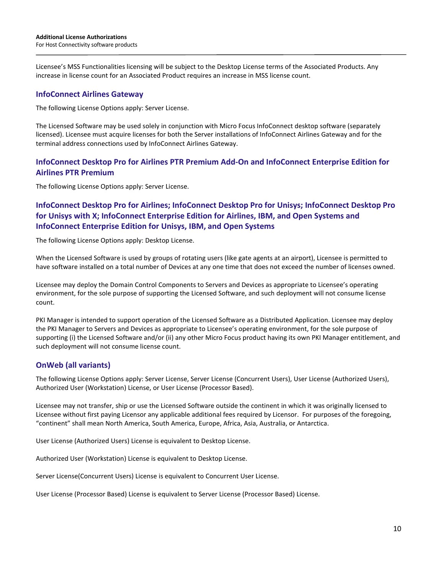Licensee's MSS Functionalities licensing will be subject to the Desktop License terms of the Associated Products. Any increase in license count for an Associated Product requires an increase in MSS license count.

#### **InfoConnect Airlines Gateway**

The following License Options apply: Server License.

The Licensed Software may be used solely in conjunction with Micro Focus InfoConnect desktop software (separately licensed). Licensee must acquire licenses for both the Server installations of InfoConnect Airlines Gateway and for the terminal address connections used by InfoConnect Airlines Gateway.

#### **InfoConnect Desktop Pro for Airlines PTR Premium Add-On and InfoConnect Enterprise Edition for Airlines PTR Premium**

The following License Options apply: Server License.

### **InfoConnect Desktop Pro for Airlines; InfoConnect Desktop Pro for Unisys; InfoConnect Desktop Pro for Unisys with X; InfoConnect Enterprise Edition for Airlines, IBM, and Open Systems and InfoConnect Enterprise Edition for Unisys, IBM, and Open Systems**

The following License Options apply: Desktop License.

When the Licensed Software is used by groups of rotating users (like gate agents at an airport), Licensee is permitted to have software installed on a total number of Devices at any one time that does not exceed the number of licenses owned.

Licensee may deploy the Domain Control Components to Servers and Devices as appropriate to Licensee's operating environment, for the sole purpose of supporting the Licensed Software, and such deployment will not consume license count.

PKI Manager is intended to support operation of the Licensed Software as a Distributed Application. Licensee may deploy the PKI Manager to Servers and Devices as appropriate to Licensee's operating environment, for the sole purpose of supporting (i) the Licensed Software and/or (ii) any other Micro Focus product having its own PKI Manager entitlement, and such deployment will not consume license count.

#### **OnWeb (all variants)**

The following License Options apply: Server License, Server License (Concurrent Users), User License (Authorized Users), Authorized User (Workstation) License, or User License (Processor Based).

Licensee may not transfer, ship or use the Licensed Software outside the continent in which it was originally licensed to Licensee without first paying Licensor any applicable additional fees required by Licensor. For purposes of the foregoing, "continent" shall mean North America, South America, Europe, Africa, Asia, Australia, or Antarctica.

User License (Authorized Users) License is equivalent to Desktop License.

Authorized User (Workstation) License is equivalent to Desktop License.

Server License(Concurrent Users) License is equivalent to Concurrent User License.

User License (Processor Based) License is equivalent to Server License (Processor Based) License.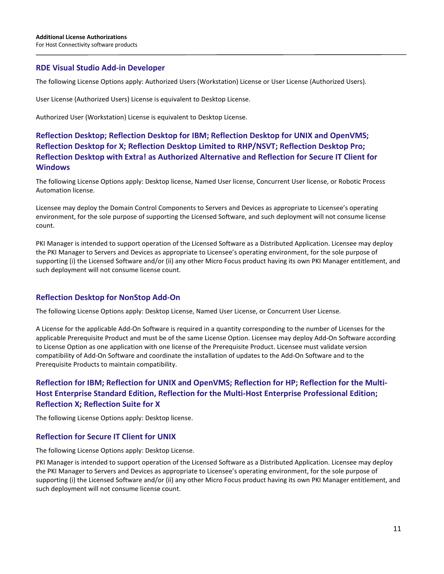#### **RDE Visual Studio Add-in Developer**

The following License Options apply: Authorized Users (Workstation) License or User License (Authorized Users).

User License (Authorized Users) License is equivalent to Desktop License.

Authorized User (Workstation) License is equivalent to Desktop License.

### **Reflection Desktop; Reflection Desktop for IBM; Reflection Desktop for UNIX and OpenVMS; Reflection Desktop for X; Reflection Desktop Limited to RHP/NSVT; Reflection Desktop Pro; Reflection Desktop with Extra! as Authorized Alternative and Reflection for Secure IT Client for Windows**

The following License Options apply: Desktop license, Named User license, Concurrent User license, or Robotic Process Automation license.

Licensee may deploy the Domain Control Components to Servers and Devices as appropriate to Licensee's operating environment, for the sole purpose of supporting the Licensed Software, and such deployment will not consume license count.

PKI Manager is intended to support operation of the Licensed Software as a Distributed Application. Licensee may deploy the PKI Manager to Servers and Devices as appropriate to Licensee's operating environment, for the sole purpose of supporting (i) the Licensed Software and/or (ii) any other Micro Focus product having its own PKI Manager entitlement, and such deployment will not consume license count.

#### **Reflection Desktop for NonStop Add-On**

The following License Options apply: Desktop License, Named User License, or Concurrent User License.

A License for the applicable Add-On Software is required in a quantity corresponding to the number of Licenses for the applicable Prerequisite Product and must be of the same License Option. Licensee may deploy Add-On Software according to License Option as one application with one license of the Prerequisite Product. Licensee must validate version compatibility of Add-On Software and coordinate the installation of updates to the Add-On Software and to the Prerequisite Products to maintain compatibility.

### **Reflection for IBM; Reflection for UNIX and OpenVMS; Reflection for HP; Reflection for the Multi-Host Enterprise Standard Edition, Reflection for the Multi-Host Enterprise Professional Edition; Reflection X; Reflection Suite for X**

The following License Options apply: Desktop license.

#### **Reflection for Secure IT Client for UNIX**

The following License Options apply: Desktop License.

PKI Manager is intended to support operation of the Licensed Software as a Distributed Application. Licensee may deploy the PKI Manager to Servers and Devices as appropriate to Licensee's operating environment, for the sole purpose of supporting (i) the Licensed Software and/or (ii) any other Micro Focus product having its own PKI Manager entitlement, and such deployment will not consume license count.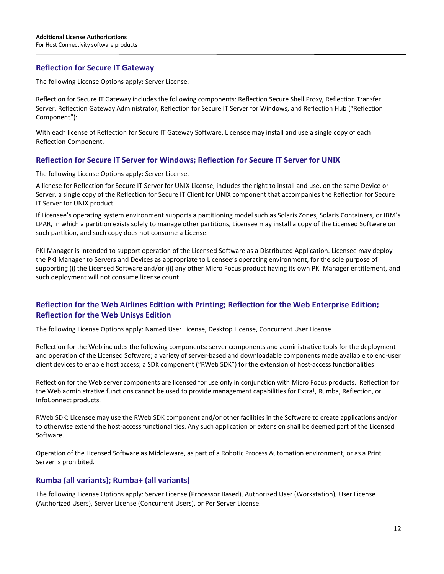#### **Reflection for Secure IT Gateway**

The following License Options apply: Server License.

Reflection for Secure IT Gateway includes the following components: Reflection Secure Shell Proxy, Reflection Transfer Server, Reflection Gateway Administrator, Reflection for Secure IT Server for Windows, and Reflection Hub ("Reflection Component"):

With each license of Reflection for Secure IT Gateway Software, Licensee may install and use a single copy of each Reflection Component.

#### **Reflection for Secure IT Server for Windows; Reflection for Secure IT Server for UNIX**

The following License Options apply: Server License.

A licnese for Reflection for Secure IT Server for UNIX License, includes the right to install and use, on the same Device or Server, a single copy of the Reflection for Secure IT Client for UNIX component that accompanies the Reflection for Secure IT Server for UNIX product.

If Licensee's operating system environment supports a partitioning model such as Solaris Zones, Solaris Containers, or IBM's LPAR, in which a partition exists solely to manage other partitions, Licensee may install a copy of the Licensed Software on such partition, and such copy does not consume a License.

PKI Manager is intended to support operation of the Licensed Software as a Distributed Application. Licensee may deploy the PKI Manager to Servers and Devices as appropriate to Licensee's operating environment, for the sole purpose of supporting (i) the Licensed Software and/or (ii) any other Micro Focus product having its own PKI Manager entitlement, and such deployment will not consume license count

#### **Reflection for the Web Airlines Edition with Printing; Reflection for the Web Enterprise Edition; Reflection for the Web Unisys Edition**

The following License Options apply: Named User License, Desktop License, Concurrent User License

Reflection for the Web includes the following components: server components and administrative tools for the deployment and operation of the Licensed Software; a variety of server-based and downloadable components made available to end-user client devices to enable host access; a SDK component ("RWeb SDK") for the extension of host-access functionalities

Reflection for the Web server components are licensed for use only in conjunction with Micro Focus products. Reflection for the Web administrative functions cannot be used to provide management capabilities for Extra!, Rumba, Reflection, or InfoConnect products.

RWeb SDK: Licensee may use the RWeb SDK component and/or other facilities in the Software to create applications and/or to otherwise extend the host-access functionalities. Any such application or extension shall be deemed part of the Licensed Software.

Operation of the Licensed Software as Middleware, as part of a Robotic Process Automation environment, or as a Print Server is prohibited.

#### **Rumba (all variants); Rumba+ (all variants)**

The following License Options apply: Server License (Processor Based), Authorized User (Workstation), User License (Authorized Users), Server License (Concurrent Users), or Per Server License.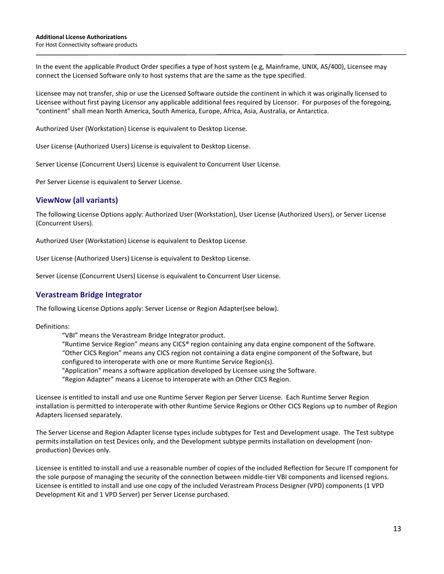In the event the applicable Product Order specifies a type of host system (e.g, Mainframe, UNIX, AS/400), Licensee may connect the Licensed Software only to host systems that are the same as the type specified.

Licensee may not transfer, ship or use the Licensed Software outside the continent in which it was originally licensed to Licensee without first paying Licensor any applicable additional fees required by Licensor. For purposes of the foregoing, "continent" shall mean North America, South America, Europe, Africa, Asia, Australia, or Antarctica.

Authorized User (Workstation) License is equivalent to Desktop License.

User License (Authorized Users) License is equivalent to Desktop License.

Server License (Concurrent Users) License is equivalent to Concurrent User License.

Per Server License is equivalent to Server License.

#### **ViewNow (all variants)**

The following License Options apply: Authorized User (Workstation), User License (Authorized Users), or Server License (Concurrent Users).

Authorized User (Workstation) License is equivalent to Desktop License.

User License (Authorized Users) License is equivalent to Desktop License.

Server License (Concurrent Users) License is equivalent to Concurrent User License.

#### **Verastream Bridge Integrator**

The following License Options apply: Server License or Region Adapter(see below).

Definitions:

- "VBI" means the Verastream Bridge Integrator product.
- "Runtime Service Region" means any CICS® region containing any data engine component of the Software. "Other CICS Region" means any CICS region not containing a data engine component of the Software, but configured to interoperate with one or more Runtime Service Region(s).
- "Application" means a software application developed by Licensee using the Software.
- "Region Adapter" means a License to interoperate with an Other CICS Region.

Licensee is entitled to install and use one Runtime Server Region per Server License. Each Runtime Server Region installation is permitted to interoperate with other Runtime Service Regions or Other CICS Regions up to number of Region Adapters licensed separately.

The Server License and Region Adapter license types include subtypes for Test and Development usage. The Test subtype permits installation on test Devices only, and the Development subtype permits installation on development (nonproduction) Devices only.

Licensee is entitled to install and use a reasonable number of copies of the included Reflection for Secure IT component for the sole purpose of managing the security of the connection between middle-tier VBI components and licensed regions. Licensee is entitled to install and use one copy of the included Verastream Process Designer (VPD) components (1 VPD Development Kit and 1 VPD Server) per Server License purchased.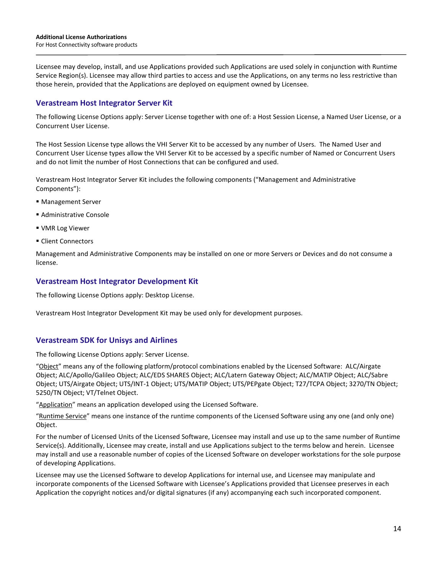Licensee may develop, install, and use Applications provided such Applications are used solely in conjunction with Runtime Service Region(s). Licensee may allow third parties to access and use the Applications, on any terms no less restrictive than those herein, provided that the Applications are deployed on equipment owned by Licensee.

#### **Verastream Host Integrator Server Kit**

The following License Options apply: Server License together with one of: a Host Session License, a Named User License, or a Concurrent User License.

The Host Session License type allows the VHI Server Kit to be accessed by any number of Users. The Named User and Concurrent User License types allow the VHI Server Kit to be accessed by a specific number of Named or Concurrent Users and do not limit the number of Host Connections that can be configured and used.

Verastream Host Integrator Server Kit includes the following components ("Management and Administrative Components"):

- **Management Server**
- Administrative Console
- VMR Log Viewer
- Client Connectors

Management and Administrative Components may be installed on one or more Servers or Devices and do not consume a license.

#### **Verastream Host Integrator Development Kit**

The following License Options apply: Desktop License.

Verastream Host Integrator Development Kit may be used only for development purposes.

#### **Verastream SDK for Unisys and Airlines**

The following License Options apply: Server License.

"Object" means any of the following platform/protocol combinations enabled by the Licensed Software: ALC/Airgate Object; ALC/Apollo/Galileo Object; ALC/EDS SHARES Object; ALC/Latern Gateway Object; ALC/MATIP Object; ALC/Sabre Object; UTS/Airgate Object; UTS/INT-1 Object; UTS/MATIP Object; UTS/PEPgate Object; T27/TCPA Object; 3270/TN Object; 5250/TN Object; VT/Telnet Object.

"Application" means an application developed using the Licensed Software.

"Runtime Service" means one instance of the runtime components of the Licensed Software using any one (and only one) Object.

For the number of Licensed Units of the Licensed Software, Licensee may install and use up to the same number of Runtime Service(s). Additionally, Licensee may create, install and use Applications subject to the terms below and herein. Licensee may install and use a reasonable number of copies of the Licensed Software on developer workstations for the sole purpose of developing Applications.

Licensee may use the Licensed Software to develop Applications for internal use, and Licensee may manipulate and incorporate components of the Licensed Software with Licensee's Applications provided that Licensee preserves in each Application the copyright notices and/or digital signatures (if any) accompanying each such incorporated component.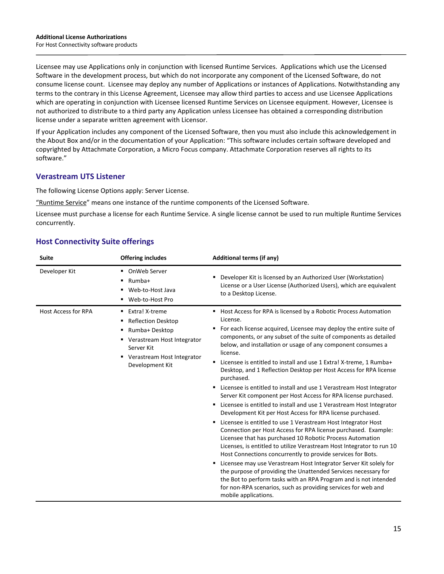Licensee may use Applications only in conjunction with licensed Runtime Services. Applications which use the Licensed Software in the development process, but which do not incorporate any component of the Licensed Software, do not consume license count. Licensee may deploy any number of Applications or instances of Applications. Notwithstanding any terms to the contrary in this License Agreement, Licensee may allow third parties to access and use Licensee Applications which are operating in conjunction with Licensee licensed Runtime Services on Licensee equipment. However, Licensee is not authorized to distribute to a third party any Application unless Licensee has obtained a corresponding distribution license under a separate written agreement with Licensor.

If your Application includes any component of the Licensed Software, then you must also include this acknowledgement in the About Box and/or in the documentation of your Application: "This software includes certain software developed and copyrighted by Attachmate Corporation, a Micro Focus company. Attachmate Corporation reserves all rights to its software."

#### **Verastream UTS Listener**

The following License Options apply: Server License.

"Runtime Service" means one instance of the runtime components of the Licensed Software.

Licensee must purchase a license for each Runtime Service. A single license cannot be used to run multiple Runtime Services concurrently.

| <b>Additional terms (if any)</b>                                                                                                                                                                                                                                                                                                                                                                                                                                                                                                                                                                                                                                                                                                                                                                                                                                                                                                                                                                                                                                                                                                                                                                                                                                                                                                                                        |
|-------------------------------------------------------------------------------------------------------------------------------------------------------------------------------------------------------------------------------------------------------------------------------------------------------------------------------------------------------------------------------------------------------------------------------------------------------------------------------------------------------------------------------------------------------------------------------------------------------------------------------------------------------------------------------------------------------------------------------------------------------------------------------------------------------------------------------------------------------------------------------------------------------------------------------------------------------------------------------------------------------------------------------------------------------------------------------------------------------------------------------------------------------------------------------------------------------------------------------------------------------------------------------------------------------------------------------------------------------------------------|
| Developer Kit is licensed by an Authorized User (Workstation)<br>License or a User License (Authorized Users), which are equivalent<br>to a Desktop License.                                                                                                                                                                                                                                                                                                                                                                                                                                                                                                                                                                                                                                                                                                                                                                                                                                                                                                                                                                                                                                                                                                                                                                                                            |
| ■ Host Access for RPA is licensed by a Robotic Process Automation<br>License.<br>For each license acquired, Licensee may deploy the entire suite of<br>components, or any subset of the suite of components as detailed<br>below, and installation or usage of any component consumes a<br>license.<br>Licensee is entitled to install and use 1 Extra! X-treme, 1 Rumba+<br>Desktop, and 1 Reflection Desktop per Host Access for RPA license<br>purchased.<br>• Licensee is entitled to install and use 1 Verastream Host Integrator<br>Server Kit component per Host Access for RPA license purchased.<br>" Licensee is entitled to install and use 1 Verastream Host Integrator<br>Development Kit per Host Access for RPA license purchased.<br>Licensee is entitled to use 1 Verastream Host Integrator Host<br>Connection per Host Access for RPA license purchased. Example:<br>Licensee that has purchased 10 Robotic Process Automation<br>Licenses, is entitled to utilize Verastream Host Integrator to run 10<br>Host Connections concurrently to provide services for Bots.<br>" Licensee may use Verastream Host Integrator Server Kit solely for<br>the purpose of providing the Unattended Services necessary for<br>the Bot to perform tasks with an RPA Program and is not intended<br>for non-RPA scenarios, such as providing services for web and |
| mobile applications.                                                                                                                                                                                                                                                                                                                                                                                                                                                                                                                                                                                                                                                                                                                                                                                                                                                                                                                                                                                                                                                                                                                                                                                                                                                                                                                                                    |

#### **Host Connectivity Suite offerings**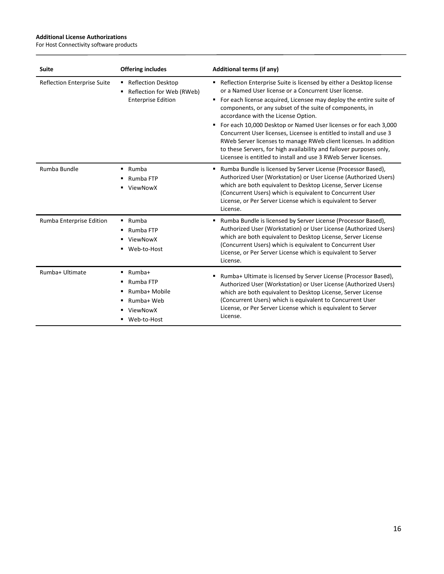$\overline{a}$ 

| <b>Suite</b>                       | <b>Offering includes</b>                                                                     | <b>Additional terms (if any)</b>                                                                                                                                                                                                                                                                                                                                                                                                                                                                                                                                                                                                                                        |
|------------------------------------|----------------------------------------------------------------------------------------------|-------------------------------------------------------------------------------------------------------------------------------------------------------------------------------------------------------------------------------------------------------------------------------------------------------------------------------------------------------------------------------------------------------------------------------------------------------------------------------------------------------------------------------------------------------------------------------------------------------------------------------------------------------------------------|
| <b>Reflection Enterprise Suite</b> | ■ Reflection Desktop<br>Reflection for Web (RWeb)<br><b>Enterprise Edition</b>               | • Reflection Enterprise Suite is licensed by either a Desktop license<br>or a Named User license or a Concurrent User license.<br>• For each license acquired, Licensee may deploy the entire suite of<br>components, or any subset of the suite of components, in<br>accordance with the License Option.<br>For each 10,000 Desktop or Named User licenses or for each 3,000<br>٠<br>Concurrent User licenses, Licensee is entitled to install and use 3<br>RWeb Server licenses to manage RWeb client licenses. In addition<br>to these Servers, for high availability and failover purposes only,<br>Licensee is entitled to install and use 3 RWeb Server licenses. |
| Rumba Bundle                       | $\blacksquare$ Rumba<br>Rumba FTP<br>ViewNowX                                                | " Rumba Bundle is licensed by Server License (Processor Based),<br>Authorized User (Workstation) or User License (Authorized Users)<br>which are both equivalent to Desktop License, Server License<br>(Concurrent Users) which is equivalent to Concurrent User<br>License, or Per Server License which is equivalent to Server<br>License.                                                                                                                                                                                                                                                                                                                            |
| Rumba Enterprise Edition           | $\blacksquare$ Rumba<br>Rumba FTP<br>٠<br>ViewNowX<br>Web-to-Host<br>٠                       | ■ Rumba Bundle is licensed by Server License (Processor Based),<br>Authorized User (Workstation) or User License (Authorized Users)<br>which are both equivalent to Desktop License, Server License<br>(Concurrent Users) which is equivalent to Concurrent User<br>License, or Per Server License which is equivalent to Server<br>License.                                                                                                                                                                                                                                                                                                                            |
| Rumba+ Ultimate                    | Rumba+<br>Rumba FTP<br>٠<br>Rumba+ Mobile<br>٠<br>Rumba+ Web<br>ViewNowX<br>٠<br>Web-to-Host | Rumba+ Ultimate is licensed by Server License (Processor Based),<br>Authorized User (Workstation) or User License (Authorized Users)<br>which are both equivalent to Desktop License, Server License<br>(Concurrent Users) which is equivalent to Concurrent User<br>License, or Per Server License which is equivalent to Server<br>License.                                                                                                                                                                                                                                                                                                                           |